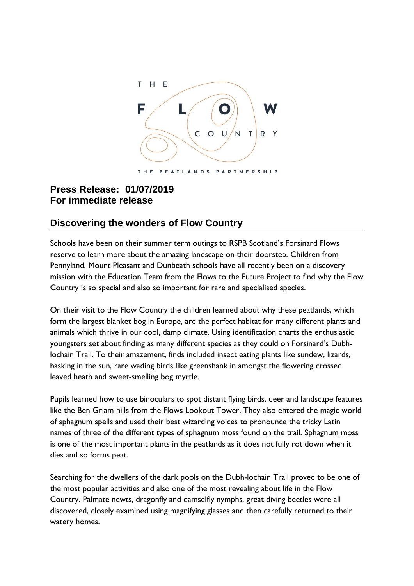

## **Press Release: 01/07/2019 For immediate release**

## **Discovering the wonders of Flow Country**

Schools have been on their summer term outings to RSPB Scotland's Forsinard Flows reserve to learn more about the amazing landscape on their doorstep. Children from Pennyland, Mount Pleasant and Dunbeath schools have all recently been on a discovery mission with the Education Team from the Flows to the Future Project to find why the Flow Country is so special and also so important for rare and specialised species.

On their visit to the Flow Country the children learned about why these peatlands, which form the largest blanket bog in Europe, are the perfect habitat for many different plants and animals which thrive in our cool, damp climate. Using identification charts the enthusiastic youngsters set about finding as many different species as they could on Forsinard's Dubhlochain Trail. To their amazement, finds included insect eating plants like sundew, lizards, basking in the sun, rare wading birds like greenshank in amongst the flowering crossed leaved heath and sweet-smelling bog myrtle.

Pupils learned how to use binoculars to spot distant flying birds, deer and landscape features like the Ben Griam hills from the Flows Lookout Tower. They also entered the magic world of sphagnum spells and used their best wizarding voices to pronounce the tricky Latin names of three of the different types of sphagnum moss found on the trail. Sphagnum moss is one of the most important plants in the peatlands as it does not fully rot down when it dies and so forms peat.

Searching for the dwellers of the dark pools on the Dubh-lochain Trail proved to be one of the most popular activities and also one of the most revealing about life in the Flow Country. Palmate newts, dragonfly and damselfly nymphs, great diving beetles were all discovered, closely examined using magnifying glasses and then carefully returned to their watery homes.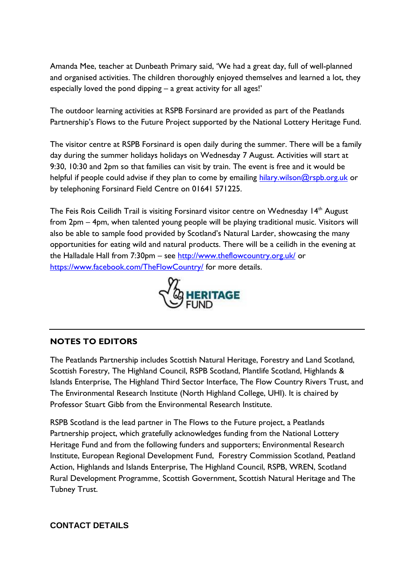Amanda Mee, teacher at Dunbeath Primary said, 'We had a great day, full of well-planned and organised activities. The children thoroughly enjoyed themselves and learned a lot, they especially loved the pond dipping – a great activity for all ages!'

The outdoor learning activities at RSPB Forsinard are provided as part of the Peatlands Partnership's Flows to the Future Project supported by the National Lottery Heritage Fund.

The visitor centre at RSPB Forsinard is open daily during the summer. There will be a family day during the summer holidays holidays on Wednesday 7 August. Activities will start at 9:30, 10:30 and 2pm so that families can visit by train. The event is free and it would be helpful if people could advise if they plan to come by emailing [hilary.wilson@rspb.org.uk](mailto:hilary.wilson@rspb.org.uk) or by telephoning Forsinard Field Centre on 01641 571225.

The Feis Rois Ceilidh Trail is visiting Forsinard visitor centre on Wednesday 14<sup>th</sup> August from 2pm – 4pm, when talented young people will be playing traditional music. Visitors will also be able to sample food provided by Scotland's Natural Larder, showcasing the many opportunities for eating wild and natural products. There will be a ceilidh in the evening at the Halladale Hall from 7:30pm – see<http://www.theflowcountry.org.uk/> or <https://www.facebook.com/TheFlowCountry/> for more details.



## **NOTES TO EDITORS**

The Peatlands Partnership includes Scottish Natural Heritage, Forestry and Land Scotland, Scottish Forestry, The Highland Council, RSPB Scotland, Plantlife Scotland, Highlands & Islands Enterprise, The Highland Third Sector Interface, The Flow Country Rivers Trust, and The Environmental Research Institute (North Highland College, UHI). It is chaired by Professor Stuart Gibb from the Environmental Research Institute.

RSPB Scotland is the lead partner in The Flows to the Future project, a Peatlands Partnership project, which gratefully acknowledges funding from the National Lottery Heritage Fund and from the following funders and supporters; Environmental Research Institute, European Regional Development Fund, Forestry Commission Scotland, Peatland Action, Highlands and Islands Enterprise, The Highland Council, RSPB, WREN, Scotland Rural Development Programme, Scottish Government, Scottish Natural Heritage and The Tubney Trust.

## **CONTACT DETAILS**